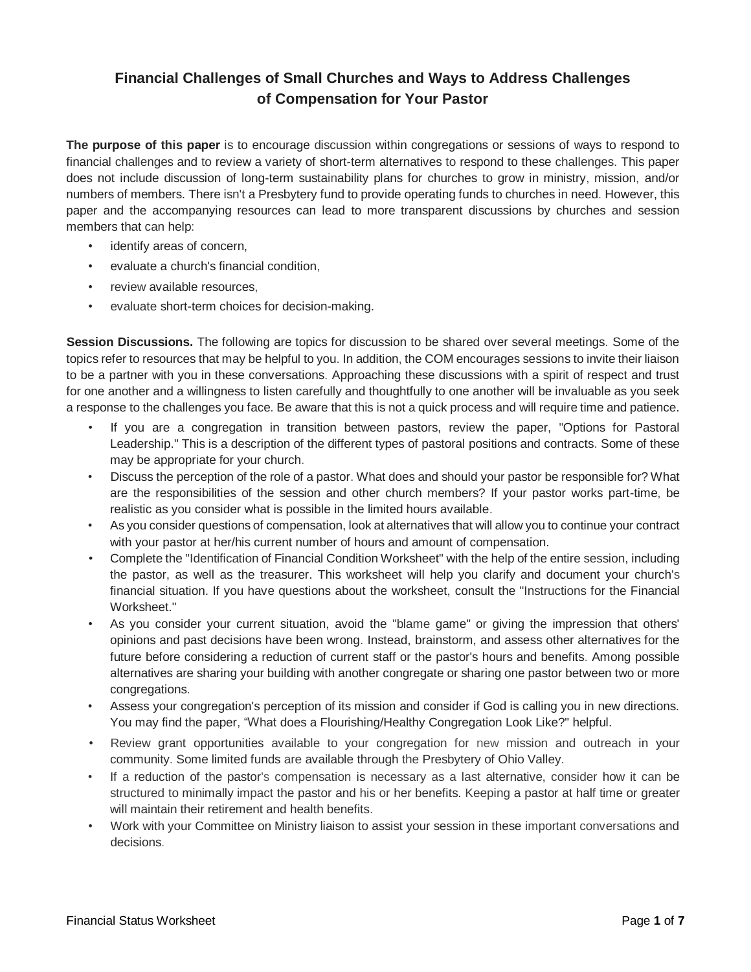## **Financial Challenges of Small Churches and Ways to Address Challenges of Compensation for Your Pastor**

**The purpose of this paper** is to encourage discussion within congregations or sessions of ways to respond to financial challenges and to review a variety of short-term alternatives to respond to these challenges. This paper does not include discussion of long-term sustainability plans for churches to grow in ministry, mission, and/or numbers of members. There isn't a Presbytery fund to provide operating funds to churches in need. However, this paper and the accompanying resources can lead to more transparent discussions by churches and session members that can help:

- identify areas of concern.
- evaluate a church's financial condition,
- review available resources.
- evaluate short-term choices for decision-making.

**Session Discussions.** The following are topics for discussion to be shared over several meetings. Some of the topics refer to resources that may be helpful to you. In addition, the COM encourages sessions to invite their liaison to be a partner with you in these conversations. Approaching these discussions with a spirit of respect and trust for one another and a willingness to listen carefully and thoughtfully to one another will be invaluable as you seek a response to the challenges you face. Be aware that this is not a quick process and will require time and patience.

- If you are a congregation in transition between pastors, review the paper, "Options for Pastoral Leadership." This is a description of the different types of pastoral positions and contracts. Some of these may be appropriate for your church.
- Discuss the perception of the role of a pastor. What does and should your pastor be responsible for? What are the responsibilities of the session and other church members? If your pastor works part-time, be realistic as you consider what is possible in the limited hours available.
- As you consider questions of compensation, look at alternatives that will allow you to continue your contract with your pastor at her/his current number of hours and amount of compensation.
- Complete the "Identification of Financial Condition Worksheet" with the help of the entire session, including the pastor, as well as the treasurer. This worksheet will help you clarify and document your church's financial situation. If you have questions about the worksheet, consult the "Instructions for the Financial Worksheet."
- As you consider your current situation, avoid the "blame game" or giving the impression that others' opinions and past decisions have been wrong. Instead, brainstorm, and assess other alternatives for the future before considering a reduction of current staff or the pastor's hours and benefits. Among possible alternatives are sharing your building with another congregate or sharing one pastor between two or more congregations.
- Assess your congregation's perception of its mission and consider if God is calling you in new directions. You may find the paper, "What does a Flourishing/Healthy Congregation Look Like?" helpful.
- Review grant opportunities available to your congregation for new mission and outreach in your community. Some limited funds are available through the Presbytery of Ohio Valley.
- If a reduction of the pastor's compensation is necessary as a last alternative, consider how it can be structured to minimally impact the pastor and his or her benefits. Keeping a pastor at half time or greater will maintain their retirement and health benefits.
- Work with your Committee on Ministry liaison to assist your session in these important conversations and decisions.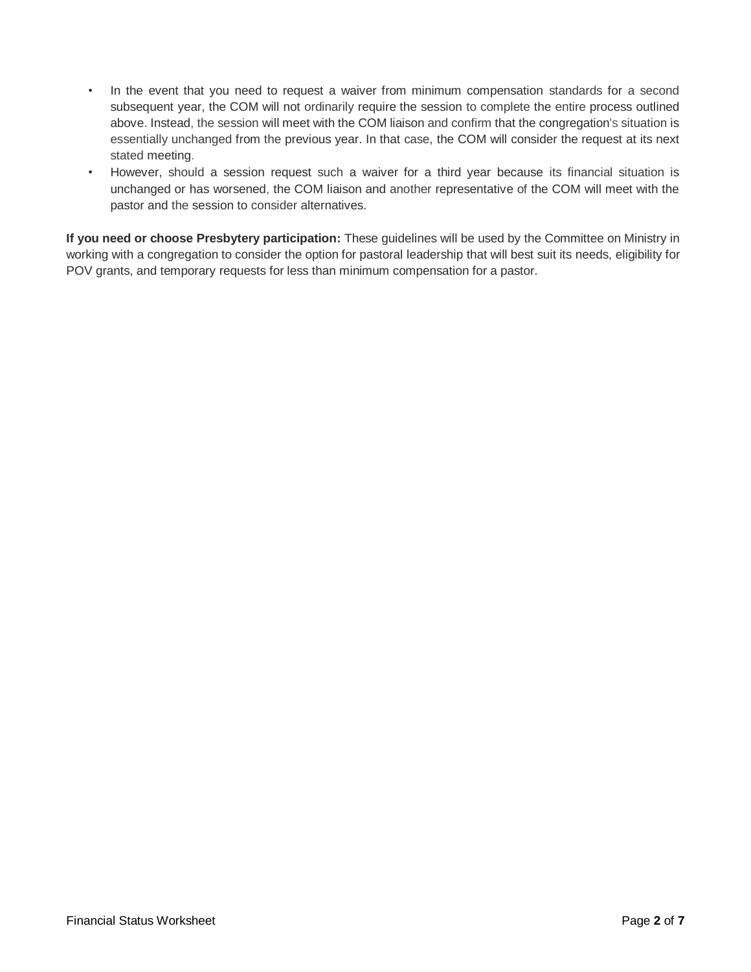- In the event that you need to request a waiver from minimum compensation standards for a second subsequent year, the COM will not ordinarily require the session to complete the entire process outlined above. Instead, the session will meet with the COM liaison and confirm that the congregation's situation is essentially unchanged from the previous year. In that case, the COM will consider the request at its next stated meeting.
- However, should a session request such a waiver for a third year because its financial situation is unchanged or has worsened, the COM liaison and another representative of the COM will meet with the pastor and the session to consider alternatives.

**If you need or choose Presbytery participation:** These guidelines will be used by the Committee on Ministry in working with a congregation to consider the option for pastoral leadership that will best suit its needs, eligibility for POV grants, and temporary requests for less than minimum compensation for a pastor.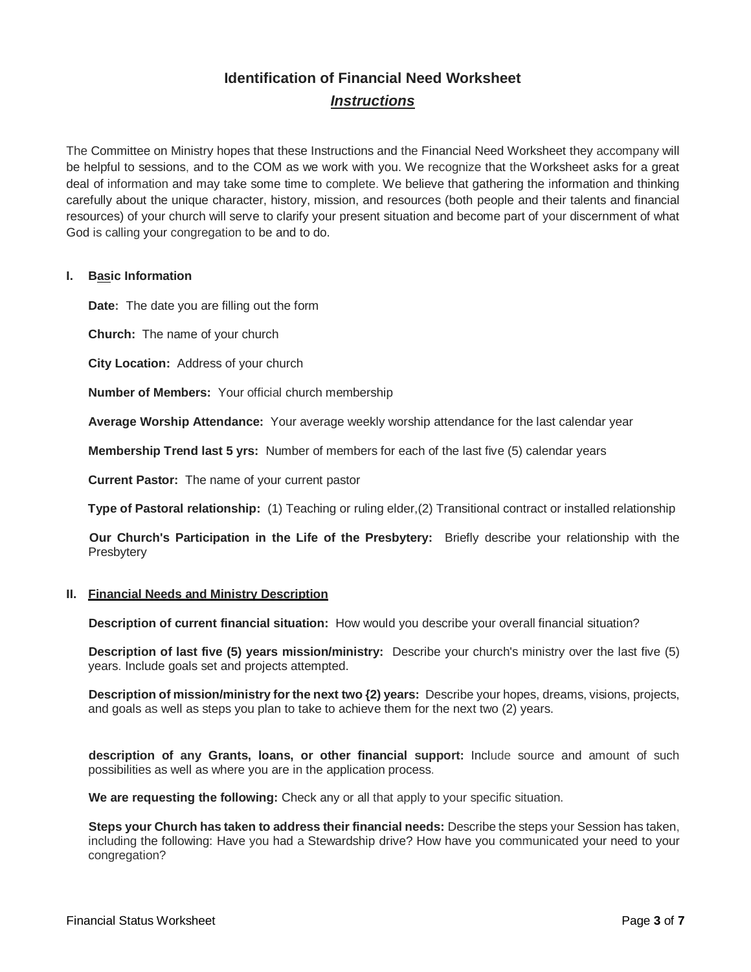# **Identification of Financial Need Worksheet** *Instructions*

The Committee on Ministry hopes that these Instructions and the Financial Need Worksheet they accompany will be helpful to sessions, and to the COM as we work with you. We recognize that the Worksheet asks for a great deal of information and may take some time to complete. We believe that gathering the information and thinking carefully about the unique character, history, mission, and resources (both people and their talents and financial resources) of your church will serve to clarify your present situation and become part of your discernment of what God is calling your congregation to be and to do.

### **I. Basic Information**

**Date:** The date you are filling out the form

**Church:** The name of your church

**City Location:** Address of your church

**Number of Members:** Your official church membership

**Average Worship Attendance:** Your average weekly worship attendance for the last calendar year

**Membership Trend last 5 yrs:** Number of members for each of the last five (5) calendar years

**Current Pastor:** The name of your current pastor

**Type of Pastoral relationship:** (1) Teaching or ruling elder,(2) Transitional contract or installed relationship

**Our Church's Participation in the Life of the Presbytery:** Briefly describe your relationship with the **Presbytery** 

#### **II. Financial Needs and Ministry Description**

**Description of current financial situation:** How would you describe your overall financial situation?

**Description of last five (5) years mission/ministry:** Describe your church's ministry over the last five (5) years. Include goals set and projects attempted.

**Description of mission/ministry for the next two {2) years:** Describe your hopes, dreams, visions, projects, and goals as well as steps you plan to take to achieve them for the next two (2) years.

**description of any Grants, loans, or other financial support:** Include source and amount of such possibilities as well as where you are in the application process.

**We are requesting the following:** Check any or all that apply to your specific situation.

**Steps your Church has taken to address their financial needs:** Describe the steps your Session has taken, including the following: Have you had a Stewardship drive? How have you communicated your need to your congregation?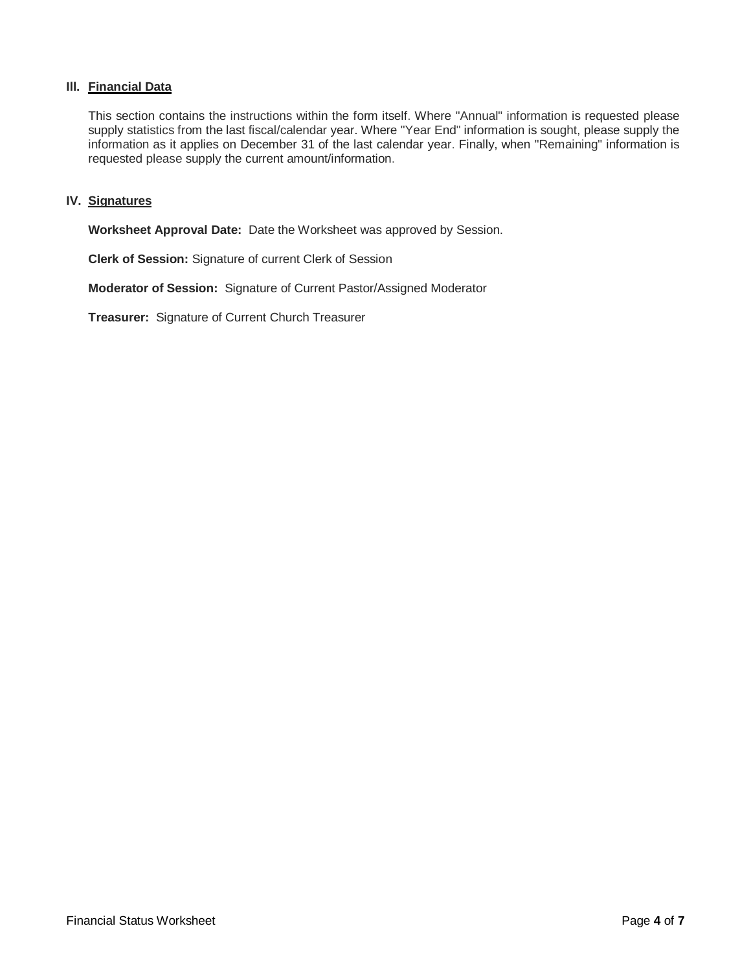### **Ill. Financial Data**

This section contains the instructions within the form itself. Where "Annual" information is requested please supply statistics from the last fiscal/calendar year. Where "Year End" information is sought, please supply the information as it applies on December 31 of the last calendar year. Finally, when "Remaining" information is requested please supply the current amount/information.

### **IV. Signatures**

**Worksheet Approval Date:** Date the Worksheet was approved by Session.

**Clerk of Session:** Signature of current Clerk of Session

**Moderator of Session:** Signature of Current Pastor/Assigned Moderator

**Treasurer:** Signature of Current Church Treasurer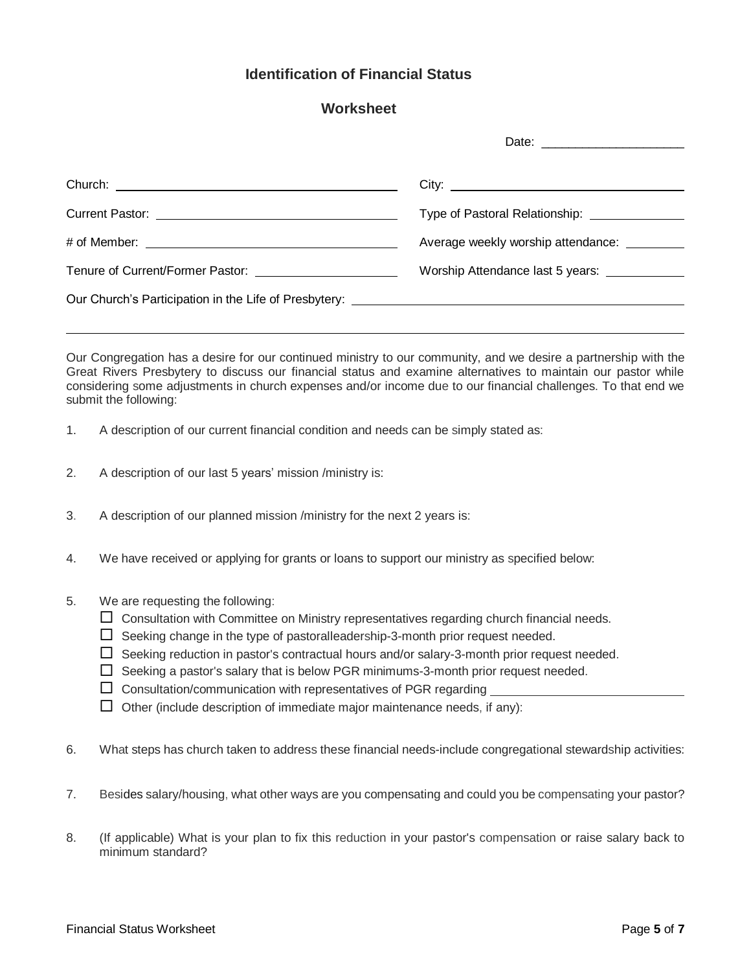### **Identification of Financial Status**

### **Worksheet**

| Average weekly worship attendance: |
|------------------------------------|
|                                    |
|                                    |

Our Congregation has a desire for our continued ministry to our community, and we desire a partnership with the Great Rivers Presbytery to discuss our financial status and examine alternatives to maintain our pastor while considering some adjustments in church expenses and/or income due to our financial challenges. To that end we submit the following:

- 1. A description of our current financial condition and needs can be simply stated as:
- 2. A description of our last 5 years' mission /ministry is:
- 3. A description of our planned mission /ministry for the next 2 years is:
- 4. We have received or applying for grants or loans to support our ministry as specified below:
- 5. We are requesting the following:
	- $\Box$  Consultation with Committee on Ministry representatives regarding church financial needs.
	- $\Box$  Seeking change in the type of pastoralleadership-3-month prior request needed.
	- $\Box$  Seeking reduction in pastor's contractual hours and/or salary-3-month prior request needed.
	- $\Box$  Seeking a pastor's salary that is below PGR minimums-3-month prior request needed.
	- $\Box$  Consultation/communication with representatives of PGR regarding
	- $\Box$  Other (include description of immediate major maintenance needs, if any):
- 6. What steps has church taken to address these financial needs-include congregational stewardship activities:
- 7. Besides salary/housing, what other ways are you compensating and could you be compensating your pastor?
- 8. (If applicable) What is your plan to fix this reduction in your pastor's compensation or raise salary back to minimum standard?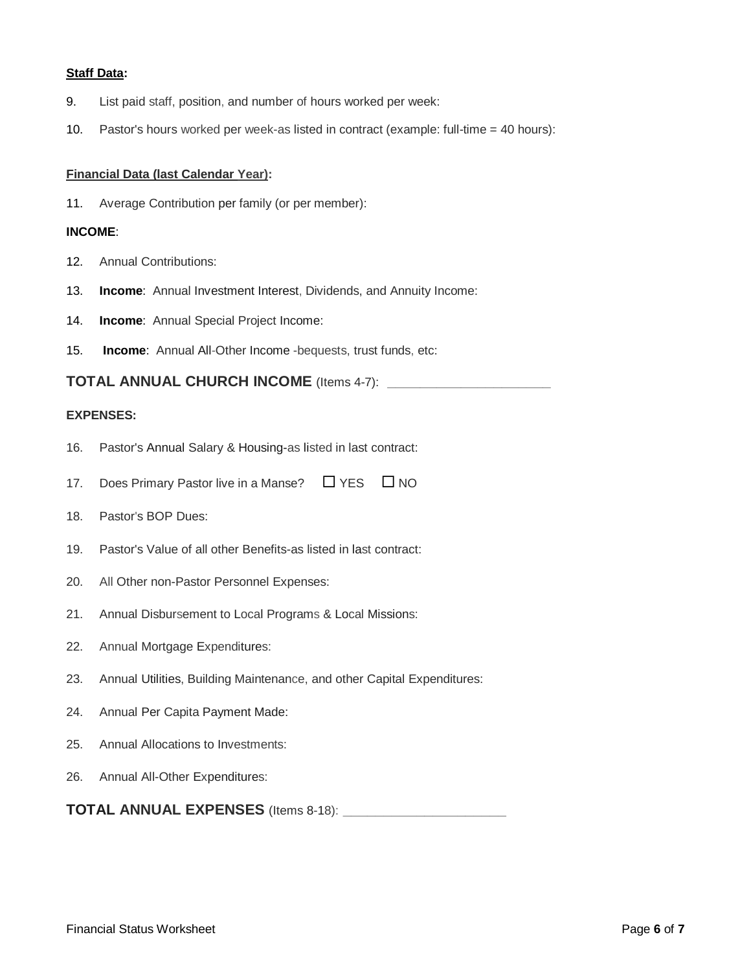#### **Staff Data:**

- 9. List paid staff, position, and number of hours worked per week:
- 10. Pastor's hours worked per week-as listed in contract (example: full-time = 40 hours):

### **Financial Data (last Calendar Year):**

11. Average Contribution per family (or per member):

### **INCOME**:

- 12. Annual Contributions:
- 13. **Income**: Annual Investment Interest, Dividends, and Annuity Income:
- 14. **Income**: Annual Special Project Income:
- 15. **Income**: Annual All-Other Income -bequests, trust funds, etc:

**TOTAL ANNUAL CHURCH INCOME** (Items 4-7): **\_\_\_\_\_\_\_\_\_\_\_\_\_\_\_\_\_\_\_\_**

### **EXPENSES:**

- 16. Pastor's Annual Salary & Housing-as listed in last contract:
- 17. Does Primary Pastor live in a Manse?  $\Box$  YES  $\Box$  NO
- 18. Pastor's BOP Dues:
- 19. Pastor's Value of all other Benefits-as listed in last contract:
- 20. All Other non-Pastor Personnel Expenses:
- 21. Annual Disbursement to Local Programs & Local Missions:
- 22. Annual Mortgage Expenditures:
- 23. Annual Utilities, Building Maintenance, and other Capital Expenditures:
- 24. Annual Per Capita Payment Made:
- 25. Annual Allocations to Investments:
- 26. Annual All-Other Expenditures:

**TOTAL ANNUAL EXPENSES** (Items 8-18): **\_\_\_\_\_\_\_\_\_\_\_\_\_\_\_\_\_\_\_\_**